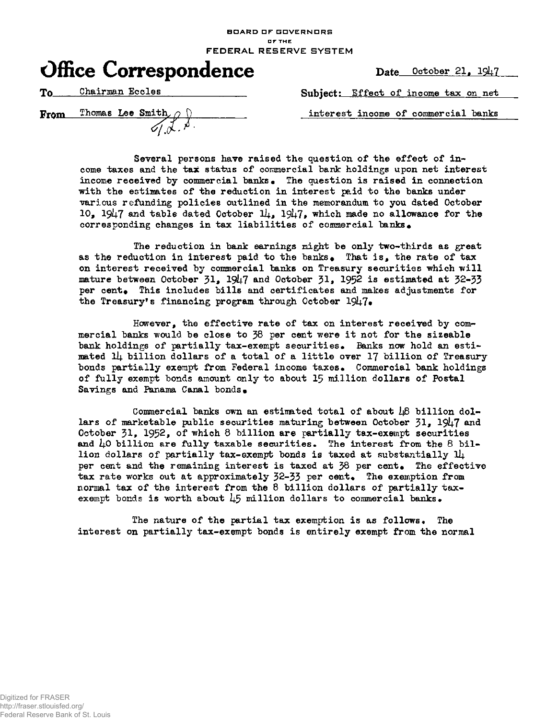BOARD OF GOVERNORS **• F TH E**  FEDERAL RESERVE SYSTEM



*V* 

Date October 21, 1947

To Chairman Eccles

**Frpm** Thomas Lee Smith,

Subject: Effect of income tax on net

interest income of commercial banks

Several persons have raised the question of the effect of  $in$ come taxes and the tax status of commercial bank holdings upon net interest income received by commercial banks. The question is raised in connection with the estimates of the reduction in interest paid to the banks under various refunding policies outlined in the memorandum to you dated October 10, 1947 and table dated October  $1/4$ , 1947, which made no allowance for the corresponding changes in tax liabilities of commercial banks.

The reduction in bank earnings might be only two-thirds as great as the reduction in interest paid to the banks. That is, the rate of tax on interest received by commercial banks on Treasury securities which will mature between October 31,  $19\frac{1}{7}$  and October 31, 1952 is estimated at 32-33 per cent. This includes bills and certificates and makes adjustments for the Treasury's financing program through October  $1947$ .

However, the effective rate of tax on interest received by commercial banks would be close to  $58$  per cent were it not for the sizeable bank holdings of partially tax-exempt securities. Banks now hold an estimated  $1\!\mu$  billion dollars of a total of a little over 17 billion of Treasury bonds partially exempt from Federal income taxes. Commercial bank holdings of fully exempt bonds amount only to about 15 million dollars of Postal Savings and Panama Canal bonds.

Commercial banks own an estimated total of about  $\mu$ 6 billion dollars of marketable public securities maturing between October  $31$ ,  $1947$  and October 31, 1952, of which 8 billion are partially tax-exempt securities and  $\mu$ 0 billion are fully taxable securities. The interest from the 8 billion dollars of partially tax-exempt bonds is taxed at substantially  $1\!\mu$ per cent and the remaining interest is taxed at  $38$  per cent. The effective tax rate works out at approximately 32-33 per cent. The exemption from normal tax of the interest from the 8 billion dollars of partially taxexempt bonds is worth about  $\downarrow$ 5 million dollars to commercial banks.

The nature of the partial tax exemption is as follows. The interest on partially tax-exempt bonds is entirely exempt from the normal